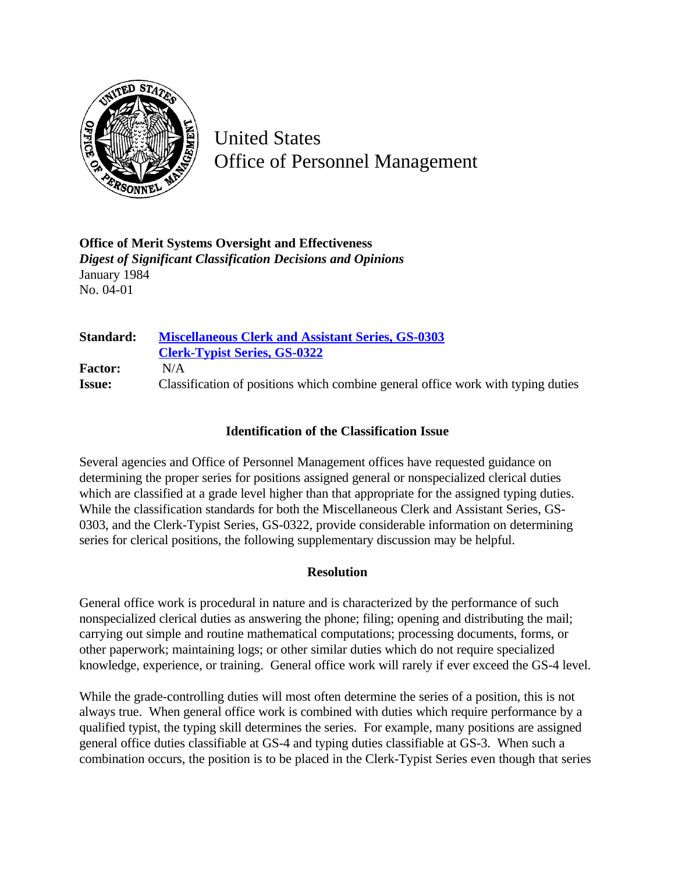

United States Office of Personnel Management

**Office of Merit Systems Oversight and Effectiveness** *Digest of Significant Classification Decisions and Opinions* January 1984 No. 04-01

**Standard: [Miscellaneous Clerk and Assistant Series, GS-0303](http://www.opm.gov/hr/fedclass/gs0303.pdf) [Clerk-Typist Series, GS-0322](http://www.opm.gov/hr/fedclass/gs0322.pdf) Factor:** N/A **Issue:** Classification of positions which combine general office work with typing duties

## **Identification of the Classification Issue**

Several agencies and Office of Personnel Management offices have requested guidance on determining the proper series for positions assigned general or nonspecialized clerical duties which are classified at a grade level higher than that appropriate for the assigned typing duties. While the classification standards for both the Miscellaneous Clerk and Assistant Series, GS-0303, and the Clerk-Typist Series, GS-0322, provide considerable information on determining series for clerical positions, the following supplementary discussion may be helpful.

## **Resolution**

General office work is procedural in nature and is characterized by the performance of such nonspecialized clerical duties as answering the phone; filing; opening and distributing the mail; carrying out simple and routine mathematical computations; processing documents, forms, or other paperwork; maintaining logs; or other similar duties which do not require specialized knowledge, experience, or training. General office work will rarely if ever exceed the GS-4 level.

While the grade-controlling duties will most often determine the series of a position, this is not always true. When general office work is combined with duties which require performance by a qualified typist, the typing skill determines the series. For example, many positions are assigned general office duties classifiable at GS-4 and typing duties classifiable at GS-3. When such a combination occurs, the position is to be placed in the Clerk-Typist Series even though that series